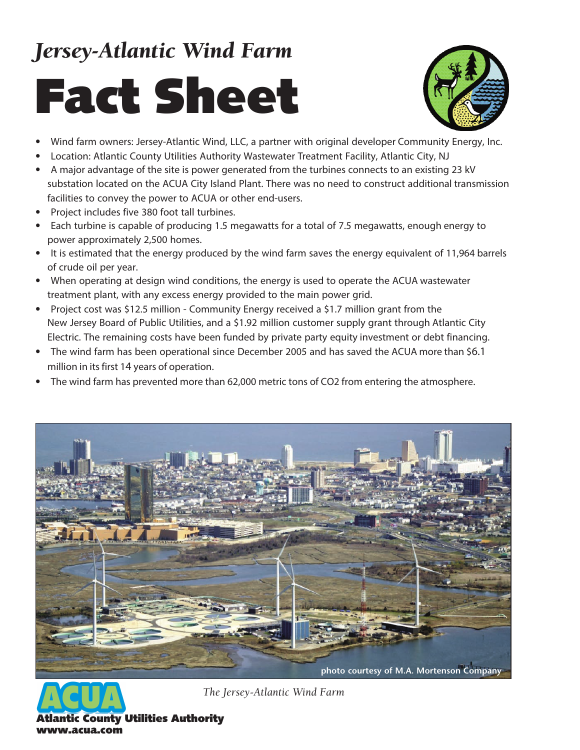# *Jersey-Atlantic Wind Farm*





- Wind farm owners: Jersey-Atlantic Wind, LLC, a partner with original developer Community Energy, Inc.
- Location: Atlantic County Utilities Authority Wastewater Treatment Facility, Atlantic City, NJ
- A major advantage of the site is power generated from the turbines connects to an existing 23 kV substation located on the ACUA City Island Plant. There was no need to construct additional transmission facilities to convey the power to ACUA or other end-users.
- Project includes five 380 foot tall turbines.
- Each turbine is capable of producing 1.5 megawatts for a total of 7.5 megawatts, enough energy to power approximately 2,500 homes.
- It is estimated that the energy produced by the wind farm saves the energy equivalent of 11,964 barrels of crude oil per year.
- When operating at design wind conditions, the energy is used to operate the ACUA wastewater treatment plant, with any excess energy provided to the main power grid.
- Project cost was \$12.5 million Community Energy received a \$1.7 million grant from the New Jersey Board of Public Utilities, and a \$1.92 million customer supply grant through Atlantic City Electric. The remaining costs have been funded by private party equity investment or debt financing.
- The wind farm has been operational since December 2005 and has saved the ACUA more than \$6.1 million in its first 14 years of operation.
- The wind farm has prevented more than 62,000 metric tons of CO2 from entering the atmosphere.





*The Jersey-Atlantic Wind Farm*

**County Utilities Authority www.acua.com**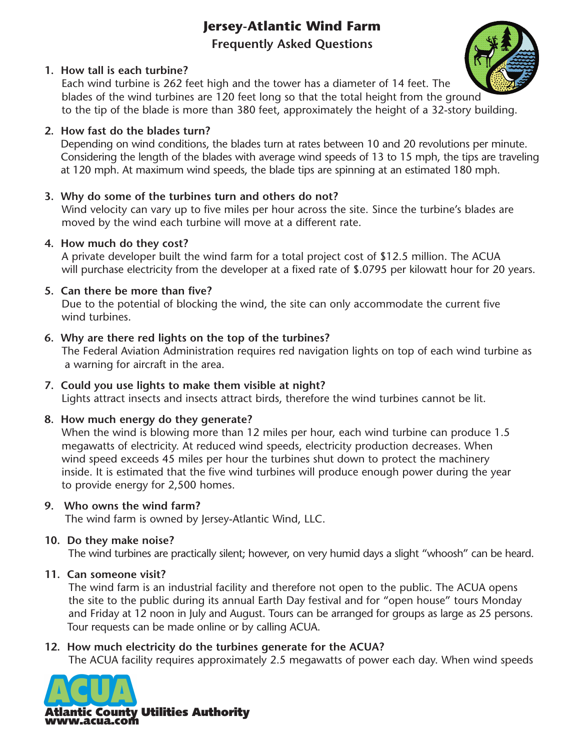# **Jersey-Atlantic Wind Farm Frequently Asked Questions**

#### **1. How tall is each turbine?**

Each wind turbine is 262 feet high and the tower has a diameter of 14 feet. The blades of the wind turbines are 120 feet long so that the total height from the ground to the tip of the blade is more than 380 feet, approximately the height of a 32-story building.

#### **2. How fast do the blades turn?**

Depending on wind conditions, the blades turn at rates between 10 and 20 revolutions per minute. Considering the length of the blades with average wind speeds of 13 to 15 mph, the tips are traveling at 120 mph. At maximum wind speeds, the blade tips are spinning at an estimated 180 mph.

### **3. Why do some of the turbines turn and others do not?**

Wind velocity can vary up to five miles per hour across the site. Since the turbine's blades are moved by the wind each turbine will move at a different rate.

#### **4. How much do they cost?**

A private developer built the wind farm for a total project cost of \$12.5 million. The ACUA will purchase electricity from the developer at a fixed rate of \$.0795 per kilowatt hour for 20 years.

#### **5. Can there be more than five?**

Due to the potential of blocking the wind, the site can only accommodate the current five wind turbines.

#### **6. Why are there red lights on the top of the turbines?**

The Federal Aviation Administration requires red navigation lights on top of each wind turbine as a warning for aircraft in the area.

**7. Could you use lights to make them visible at night?** Lights attract insects and insects attract birds, therefore the wind turbines cannot be lit.

# **8. How much energy do they generate?**

When the wind is blowing more than 12 miles per hour, each wind turbine can produce 1.5 megawatts of electricity. At reduced wind speeds, electricity production decreases. When wind speed exceeds 45 miles per hour the turbines shut down to protect the machinery inside. It is estimated that the five wind turbines will produce enough power during the year to provide energy for 2,500 homes.

#### **9. Who owns the wind farm?**

The wind farm is owned by Jersey-Atlantic Wind, LLC.

#### **10. Do they make noise?**

The wind turbines are practically silent; however, on very humid days a slight "whoosh" can be heard.

#### **11. Can someone visit?**

The wind farm is an industrial facility and therefore not open to the public. The ACUA opens the site to the public during its annual Earth Day festival and for "open house" tours Monday and Friday at 12 noon in July and August. Tours can be arranged for groups as large as 25 persons. Tour requests can be made online or by calling ACUA.

#### **12. How much electricity do the turbines generate for the ACUA?**

The ACUA facility requires approximately 2.5 megawatts of power each day. When wind speeds